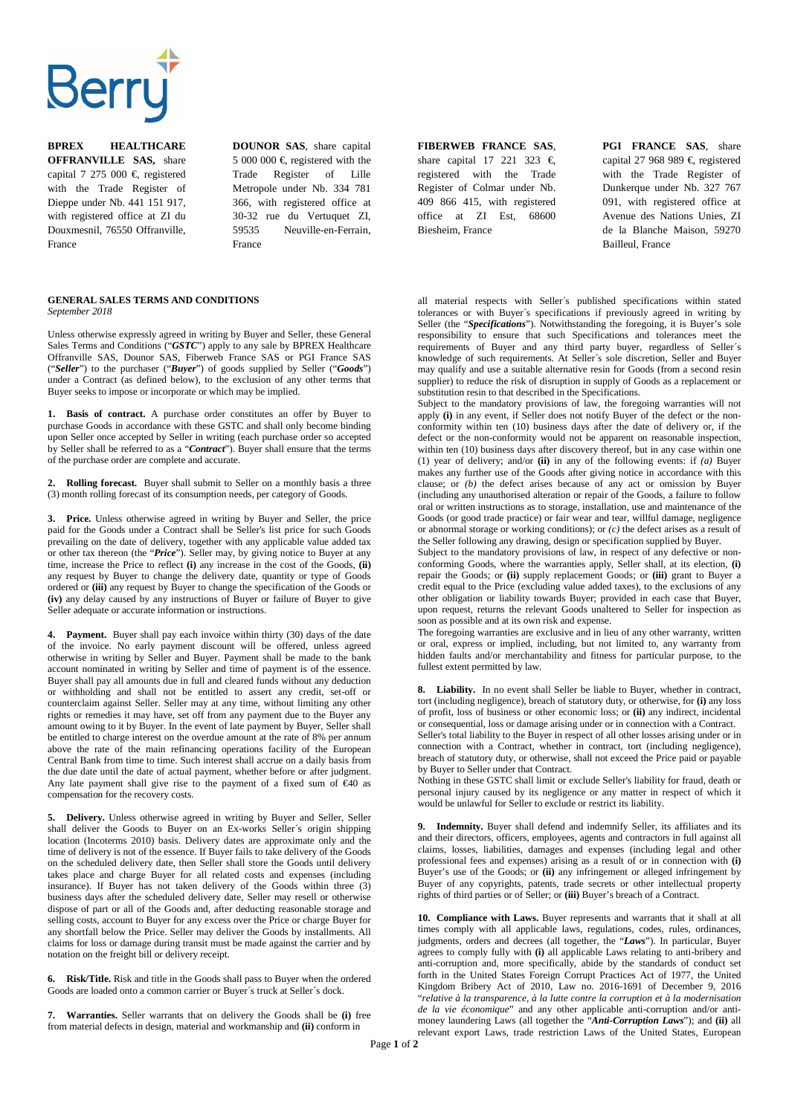

**BPREX HEALTHCARE OFFRANVILLE SAS,** share capital 7 275 000  $\in$  registered with the Trade Register of Dieppe under Nb. 441 151 917, with registered office at ZI du Douxmesnil, 76550 Offranville, France

**DOUNOR SAS**, share capital 5 000 000  $\in$  registered with the Trade Register of Lille Metropole under Nb. 334 781 366, with registered office at 30-32 rue du Vertuquet ZI, 59535 Neuville-en-Ferrain, France

**FIBERWEB FRANCE SAS**, share capital 17 221 323  $\epsilon$ registered with the Trade Register of Colmar under Nb. 409 866 415, with registered office at ZI Est, 68600 Biesheim, France

**PGI FRANCE SAS**, share capital 27 968 989  $\in$  registered with the Trade Register of Dunkerque under Nb. 327 767 091, with registered office at Avenue des Nations Unies, ZI de la Blanche Maison, 59270 Bailleul, France

## **GENERAL SALES TERMS AND CONDITIONS**  *September 2018*

Unless otherwise expressly agreed in writing by Buyer and Seller, these General Sales Terms and Conditions ("*GSTC*") apply to any sale by BPREX Healthcare Offranville SAS, Dounor SAS, Fiberweb France SAS or PGI France SAS ("*Seller*") to the purchaser ("*Buyer*") of goods supplied by Seller ("*Goods*") under a Contract (as defined below), to the exclusion of any other terms that Buyer seeks to impose or incorporate or which may be implied.

**1. Basis of contract.** A purchase order constitutes an offer by Buyer to purchase Goods in accordance with these GSTC and shall only become binding upon Seller once accepted by Seller in writing (each purchase order so accepted by Seller shall be referred to as a "*Contract*"). Buyer shall ensure that the terms of the purchase order are complete and accurate.

**2. Rolling forecast.** Buyer shall submit to Seller on a monthly basis a three (3) month rolling forecast of its consumption needs, per category of Goods.

**3. Price.** Unless otherwise agreed in writing by Buyer and Seller, the price paid for the Goods under a Contract shall be Seller's list price for such Goods prevailing on the date of delivery, together with any applicable value added tax or other tax thereon (the "*Price*"). Seller may, by giving notice to Buyer at any time, increase the Price to reflect **(i)** any increase in the cost of the Goods, **(ii)** any request by Buyer to change the delivery date, quantity or type of Goods ordered or **(iii)** any request by Buyer to change the specification of the Goods or **(iv)** any delay caused by any instructions of Buyer or failure of Buyer to give Seller adequate or accurate information or instructions.

**4. Payment.** Buyer shall pay each invoice within thirty (30) days of the date of the invoice. No early payment discount will be offered, unless agreed otherwise in writing by Seller and Buyer. Payment shall be made to the bank account nominated in writing by Seller and time of payment is of the essence. Buyer shall pay all amounts due in full and cleared funds without any deduction or withholding and shall not be entitled to assert any credit, set-off or counterclaim against Seller. Seller may at any time, without limiting any other rights or remedies it may have, set off from any payment due to the Buyer any amount owing to it by Buyer. In the event of late payment by Buyer, Seller shall be entitled to charge interest on the overdue amount at the rate of 8% per annum above the rate of the main refinancing operations facility of the European Central Bank from time to time. Such interest shall accrue on a daily basis from the due date until the date of actual payment, whether before or after judgment. Any late payment shall give rise to the payment of a fixed sum of  $\epsilon$ 40 as compensation for the recovery costs.

**5. Delivery.** Unless otherwise agreed in writing by Buyer and Seller, Seller shall deliver the Goods to Buyer on an Ex-works Seller´s origin shipping location (Incoterms 2010) basis. Delivery dates are approximate only and the time of delivery is not of the essence. If Buyer fails to take delivery of the Goods on the scheduled delivery date, then Seller shall store the Goods until delivery takes place and charge Buyer for all related costs and expenses (including insurance). If Buyer has not taken delivery of the Goods within three (3) business days after the scheduled delivery date, Seller may resell or otherwise dispose of part or all of the Goods and, after deducting reasonable storage and selling costs, account to Buyer for any excess over the Price or charge Buyer for any shortfall below the Price. Seller may deliver the Goods by installments. All claims for loss or damage during transit must be made against the carrier and by notation on the freight bill or delivery receipt.

**6. Risk/Title.** Risk and title in the Goods shall pass to Buyer when the ordered Goods are loaded onto a common carrier or Buyer´s truck at Seller´s dock.

**7. Warranties.** Seller warrants that on delivery the Goods shall be **(i)** free from material defects in design, material and workmanship and **(ii)** conform in

all material respects with Seller´s published specifications within stated tolerances or with Buyer´s specifications if previously agreed in writing by Seller (the "*Specifications*"). Notwithstanding the foregoing, it is Buyer's sole responsibility to ensure that such Specifications and tolerances meet the requirements of Buyer and any third party buyer, regardless of Seller´s knowledge of such requirements. At Seller´s sole discretion, Seller and Buyer may qualify and use a suitable alternative resin for Goods (from a second resin supplier) to reduce the risk of disruption in supply of Goods as a replacement or substitution resin to that described in the Specifications.

Subject to the mandatory provisions of law, the foregoing warranties will not apply **(i)** in any event, if Seller does not notify Buyer of the defect or the nonconformity within ten (10) business days after the date of delivery or, if the defect or the non-conformity would not be apparent on reasonable inspection, within ten (10) business days after discovery thereof, but in any case within one (1) year of delivery; and/or **(ii)** in any of the following events: if *(a)* Buyer makes any further use of the Goods after giving notice in accordance with this clause; or *(b)* the defect arises because of any act or omission by Buyer (including any unauthorised alteration or repair of the Goods, a failure to follow oral or written instructions as to storage, installation, use and maintenance of the Goods (or good trade practice) or fair wear and tear, willful damage, negligence or abnormal storage or working conditions); or *(c)* the defect arises as a result of the Seller following any drawing, design or specification supplied by Buyer.

Subject to the mandatory provisions of law, in respect of any defective or nonconforming Goods, where the warranties apply, Seller shall, at its election, **(i)** repair the Goods; or **(ii)** supply replacement Goods; or **(iii)** grant to Buyer a credit equal to the Price (excluding value added taxes), to the exclusions of any other obligation or liability towards Buyer; provided in each case that Buyer, upon request, returns the relevant Goods unaltered to Seller for inspection as soon as possible and at its own risk and expense.

The foregoing warranties are exclusive and in lieu of any other warranty, written or oral, express or implied, including, but not limited to, any warranty from hidden faults and/or merchantability and fitness for particular purpose, to the fullest extent permitted by law.

**8. Liability.** In no event shall Seller be liable to Buyer, whether in contract, tort (including negligence), breach of statutory duty, or otherwise, for **(i)** any loss of profit, loss of business or other economic loss; or **(ii)** any indirect, incidental or consequential, loss or damage arising under or in connection with a Contract.

Seller's total liability to the Buyer in respect of all other losses arising under or in connection with a Contract, whether in contract, tort (including negligence), breach of statutory duty, or otherwise, shall not exceed the Price paid or payable by Buyer to Seller under that Contract.

Nothing in these GSTC shall limit or exclude Seller's liability for fraud, death or personal injury caused by its negligence or any matter in respect of which it would be unlawful for Seller to exclude or restrict its liability.

**9. Indemnity.** Buyer shall defend and indemnify Seller, its affiliates and its and their directors, officers, employees, agents and contractors in full against all claims, losses, liabilities, damages and expenses (including legal and other professional fees and expenses) arising as a result of or in connection with **(i)** Buyer's use of the Goods; or **(ii)** any infringement or alleged infringement by Buyer of any copyrights, patents, trade secrets or other intellectual property rights of third parties or of Seller; or **(iii)** Buyer's breach of a Contract.

**10. Compliance with Laws.** Buyer represents and warrants that it shall at all times comply with all applicable laws, regulations, codes, rules, ordinances, judgments, orders and decrees (all together, the "*Laws*"). In particular, Buyer agrees to comply fully with **(i)** all applicable Laws relating to anti-bribery and anti-corruption and, more specifically, abide by the standards of conduct set forth in the United States Foreign Corrupt Practices Act of 1977, the United Kingdom Bribery Act of 2010, Law no. 2016-1691 of December 9, 2016 "*relative à la transparence, à la lutte contre la corruption et à la modernisation de la vie économique*" and any other applicable anti-corruption and/or antimoney laundering Laws (all together the "*Anti-Corruption Laws*"); and **(ii)** all relevant export Laws, trade restriction Laws of the United States, European